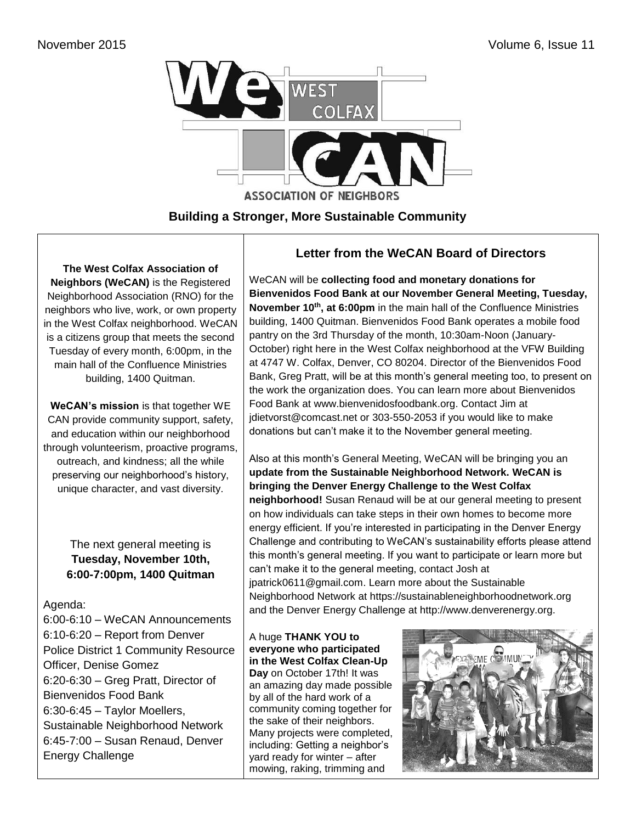

**Building a Stronger, More Sustainable Community**

**The West Colfax Association of Neighbors (WeCAN)** is the Registered Neighborhood Association (RNO) for the neighbors who live, work, or own property in the West Colfax neighborhood. WeCAN is a citizens group that meets the second Tuesday of every month, 6:00pm, in the main hall of the Confluence Ministries building, 1400 Quitman.

**WeCAN's mission** is that together WE CAN provide community support, safety, and education within our neighborhood through volunteerism, proactive programs, outreach, and kindness; all the while preserving our neighborhood's history, unique character, and vast diversity.

> The next general meeting is **Tuesday, November 10th, 6:00-7:00pm, 1400 Quitman**

#### Agenda:

6:00-6:10 – WeCAN Announcements 6:10-6:20 – Report from Denver Police District 1 Community Resource Officer, Denise Gomez 6:20-6:30 – Greg Pratt, Director of Bienvenidos Food Bank 6:30-6:45 – Taylor Moellers, Sustainable Neighborhood Network 6:45-7:00 – Susan Renaud, Denver Energy Challenge

### **Letter from the WeCAN Board of Directors**

WeCAN will be **collecting food and monetary donations for Bienvenidos Food Bank at our November General Meeting, Tuesday, November 10th , at 6:00pm** in the main hall of the Confluence Ministries building, 1400 Quitman. Bienvenidos Food Bank operates a mobile food pantry on the 3rd Thursday of the month, 10:30am-Noon (January-October) right here in the West Colfax neighborhood at the VFW Building at 4747 W. Colfax, Denver, CO 80204. Director of the Bienvenidos Food Bank, Greg Pratt, will be at this month's general meeting too, to present on the work the organization does. You can learn more about Bienvenidos Food Bank at [www.bienvenidosfoodbank.org.](http://www.bienvenidosfoodbank.org/) Contact Jim at [jdietvorst@comcast.net](mailto:jdietvorst@comcast.net) or 303-550-2053 if you would like to make donations but can't make it to the November general meeting.

Also at this month's General Meeting, WeCAN will be bringing you an **update from the Sustainable Neighborhood Network. WeCAN is bringing the Denver Energy Challenge to the West Colfax neighborhood!** Susan Renaud will be at our general meeting to present on how individuals can take steps in their own homes to become more energy efficient. If you're interested in participating in the Denver Energy Challenge and contributing to WeCAN's sustainability efforts please attend this month's general meeting. If you want to participate or learn more but can't make it to the general meeting, contact Josh at jpatrick0611@gmail.com. Learn more about the Sustainable Neighborhood Network at https://sustainableneighborhoodnetwork.org and the Denver Energy Challenge at http://www.denverenergy.org.

#### A huge **THANK YOU to everyone who participated in the West Colfax Clean-Up Day** on October 17th! It was an amazing day made possible by all of the hard work of a community coming together for the sake of their neighbors. Many projects were completed, including: Getting a neighbor's yard ready for winter – after mowing, raking, trimming and